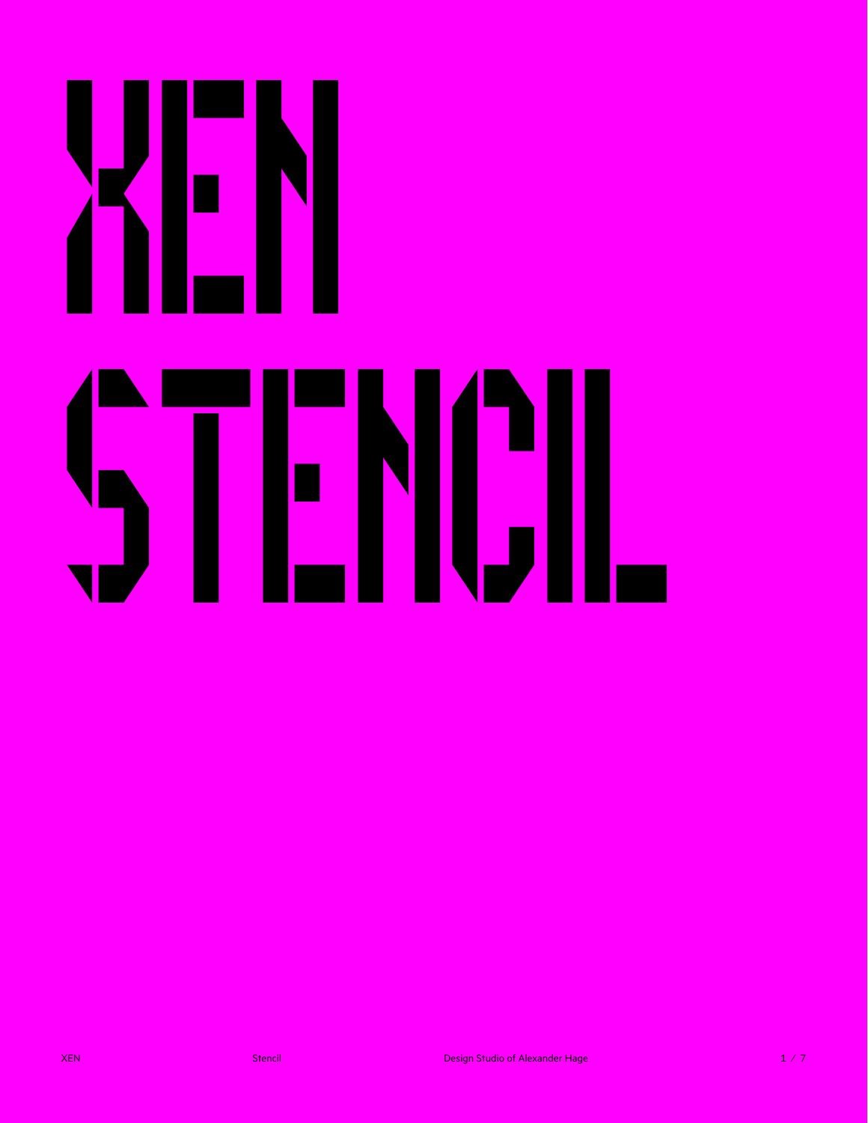# XEN STENOIL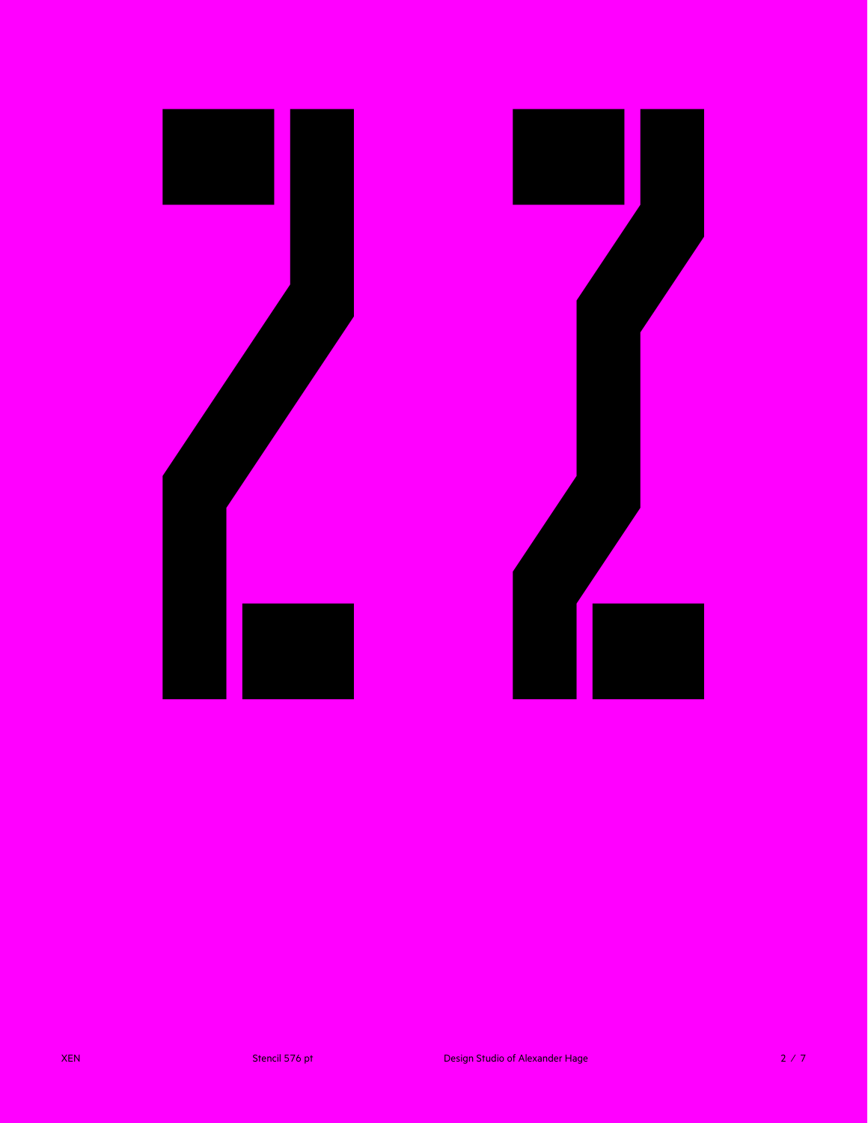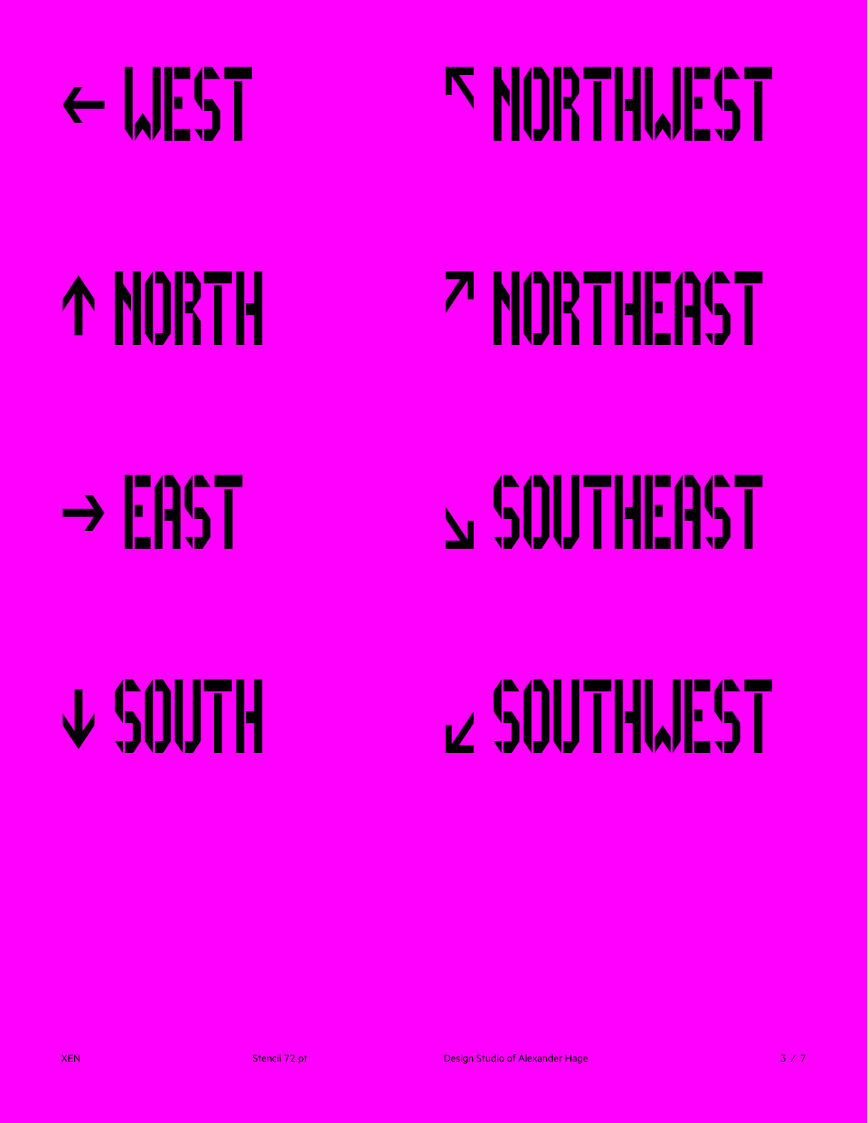



↑ NORTH

## Z NORTHEAST

## → **EAST**

### ↘ Southeast

### **↓ SOUTH**

#### Z SOUTHMEST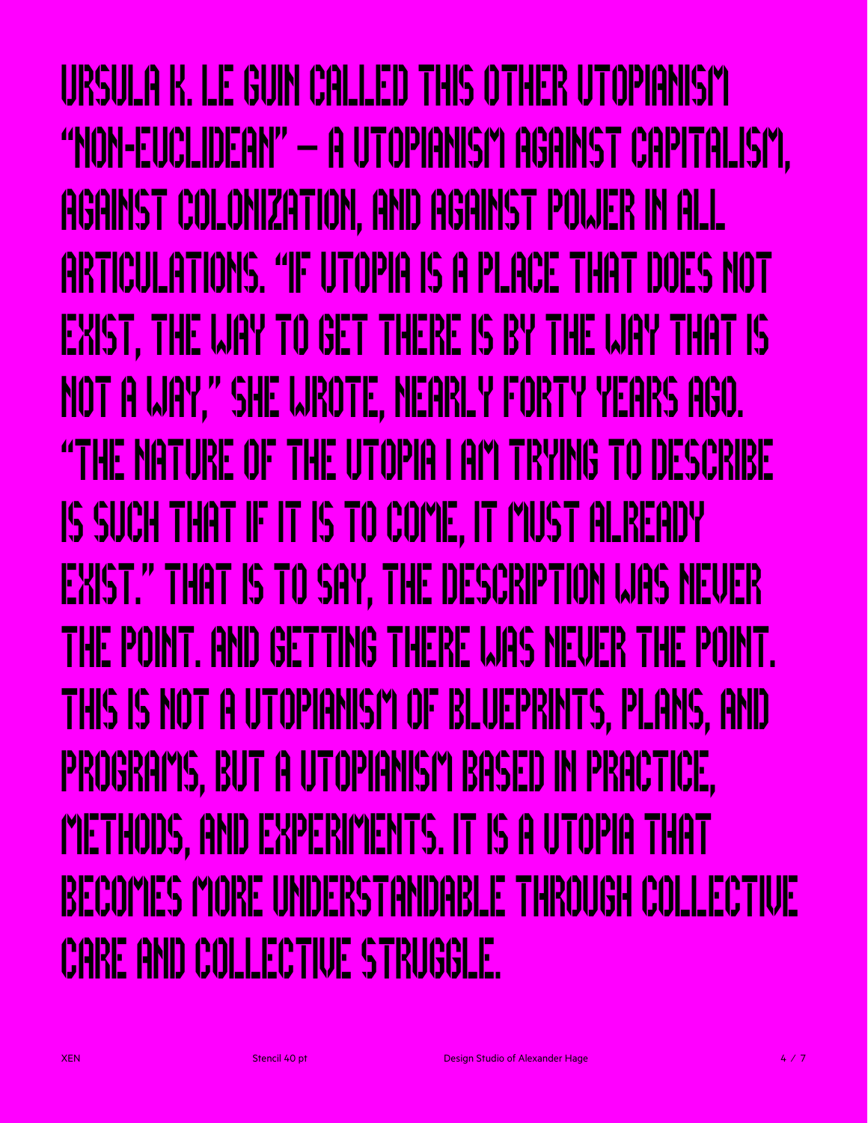Ursula K. Le Guin called this other utopianism "non-Euclidean" — a utopianism against capitalism, against colonization, and against power in all articulations. "If utopia is a place that does not exist, the way to get there is by the way that is not a way," she wrote, nearly forty years ago. "The nature of the utopia I am trying to describe is such that if it is to come, it must already exist." That is to say, the description was never the point. And getting there was never the point. This is not a utopianism of blueprints, plans, and programs, but a utopianism based in practice, methods, and experiments. It is a utopia that becomes more understandable through collective care and collective struggle.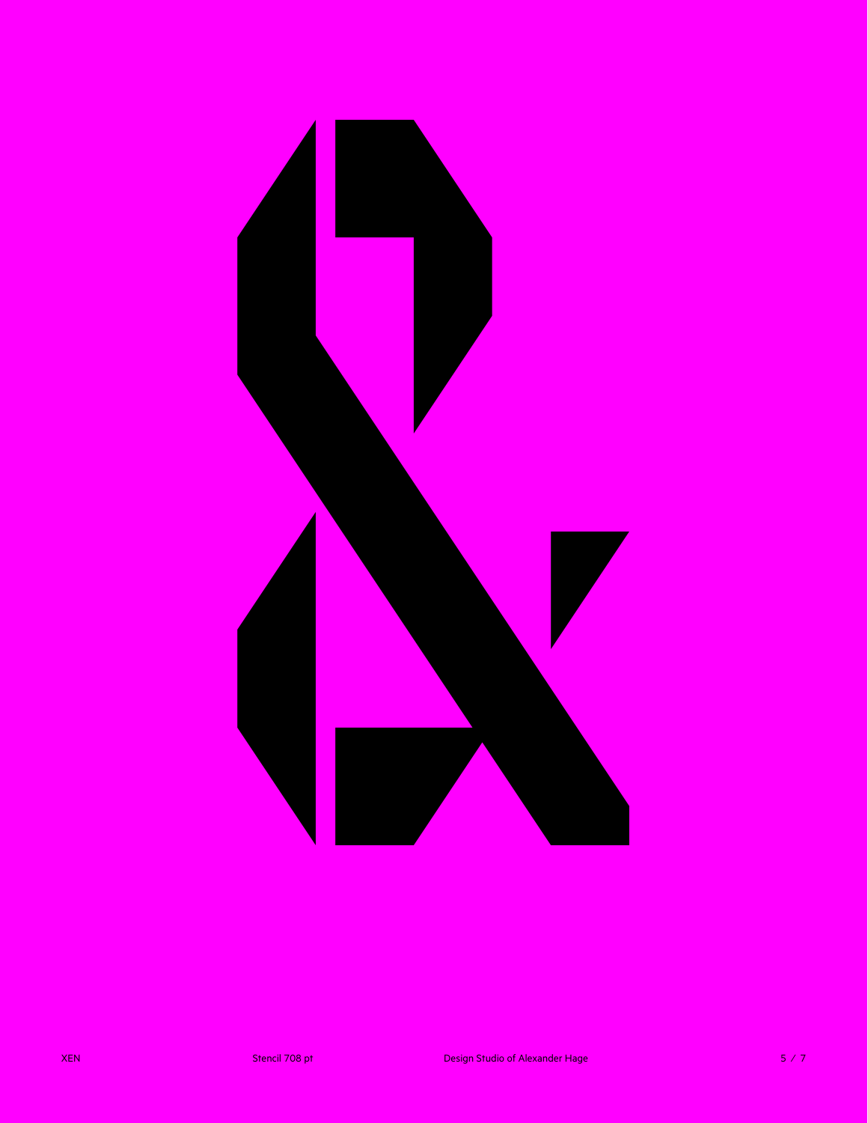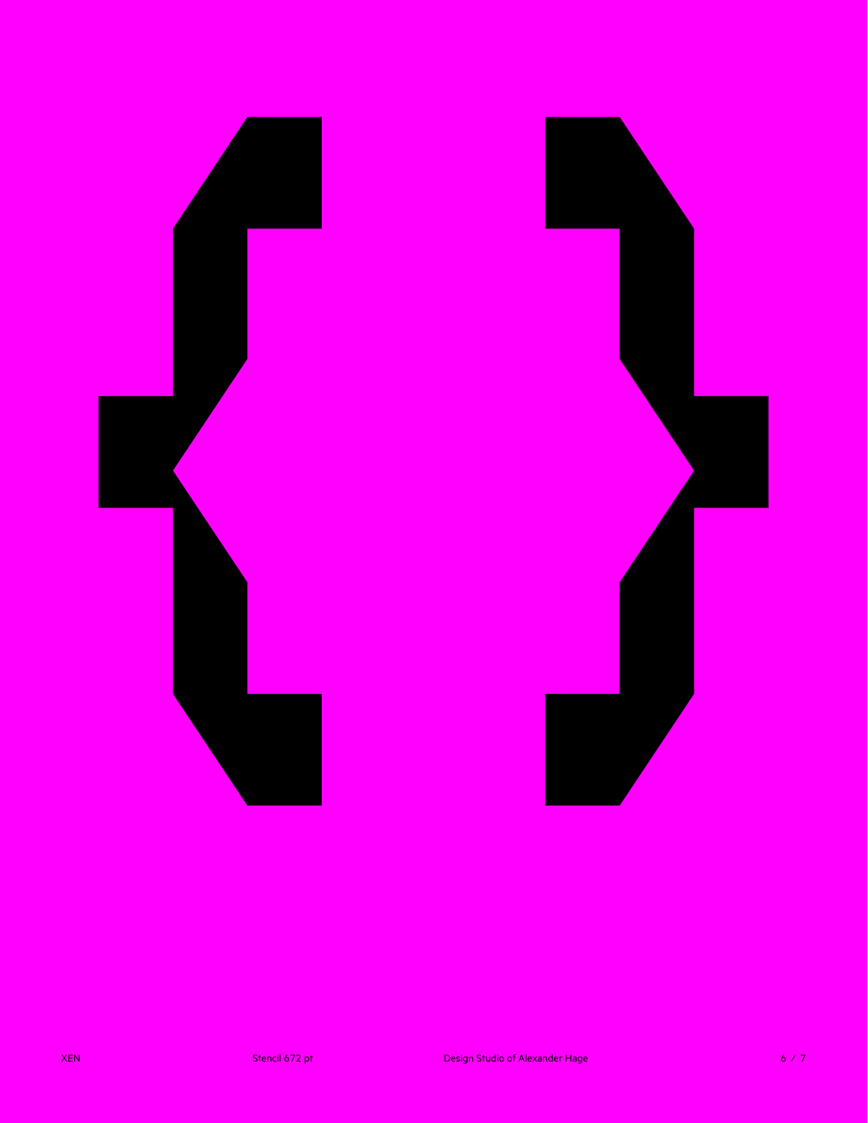